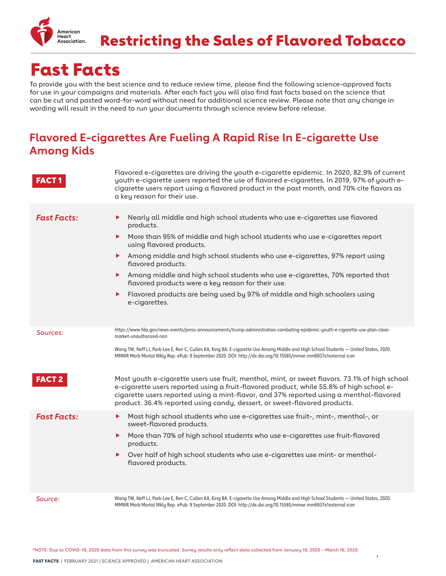

Restricting the Sales of Flavored Tobacco

# Fast Facts

To provide you with the best science and to reduce review time, please find the following science-approved facts for use in your campaigns and materials. After each fact you will also find fast facts based on the science that can be cut and pasted word-for-word without need for additional science review. Please note that any change in wording will result in the need to run your documents through science review before release.

#### **Flavored E-cigarettes Are Fueling A Rapid Rise In E-cigarette Use Among Kids**

|                    | Flavored e-cigarettes are driving the youth e-cigarette epidemic. In 2020, 82.9% of current<br>youth e-cigarette users reported the use of flavored e-cigarettes. In 2019, 97% of youth e-<br>cigarette users report using a flavored product in the past month, and 70% cite flavors as<br>a key reason for their use.                                                                                                                                                                                                                                                    |
|--------------------|----------------------------------------------------------------------------------------------------------------------------------------------------------------------------------------------------------------------------------------------------------------------------------------------------------------------------------------------------------------------------------------------------------------------------------------------------------------------------------------------------------------------------------------------------------------------------|
| <b>Fast Facts:</b> | Nearly all middle and high school students who use e-cigarettes use flavored<br>▶<br>products.<br>More than 95% of middle and high school students who use e-cigarettes report<br>▶<br>using flavored products.<br>Among middle and high school students who use e-cigarettes, 97% report using<br>▶<br>flavored products.<br>Among middle and high school students who use e-cigarettes, 70% reported that<br>▶<br>flavored products were a key reason for their use.<br>Flavored products are being used by 97% of middle and high schoolers using<br>▶<br>e-cigarettes. |
| Sources:           | https://www.fda.gov/news-events/press-announcements/trump-administration-combating-epidemic-youth-e-cigarette-use-plan-clear-<br>market-unauthorized-non<br>Wang TW, Neff LJ, Park-Lee E, Ren C, Cullen KA, King BA. E-cigarette Use Among Middle and High School Students — United States, 2020.<br>MMWR Morb Mortal Wkly Rep. ePub: 9 September 2020. DOI: http://dx.doi.org/10.15585/mmwr.mm6937e1external icon                                                                                                                                                         |
| <b>FACT 2</b>      | Most youth e-cigarette users use fruit, menthol, mint, or sweet flavors. 73.1% of high school<br>e-cigarette users reported using a fruit-flavored product, while 55.8% of high school e-<br>cigarette users reported using a mint-flavor, and 37% reported using a menthol-flavored<br>product. 36.4% reported using candy, dessert, or sweet-flavored products.                                                                                                                                                                                                          |
| <b>Fast Facts:</b> | Most high school students who use e-cigarettes use fruit-, mint-, menthol-, or<br>▶<br>sweet-flavored products.<br>More than 70% of high school students who use e-cigarettes use fruit-flavored<br>▶<br>products.<br>Over half of high school students who use e-cigarettes use mint- or menthol-<br>▶<br>flavored products.                                                                                                                                                                                                                                              |
| Source:            | Wang TW, Neff LJ, Park-Lee E, Ren C, Cullen KA, King BA. E-cigarette Use Among Middle and High School Students — United States, 2020.<br>MMWR Morb Mortal Wkly Rep. ePub: 9 September 2020. DOI: http://dx.doi.org/10.15585/mmwr.mm6937e1external icon                                                                                                                                                                                                                                                                                                                     |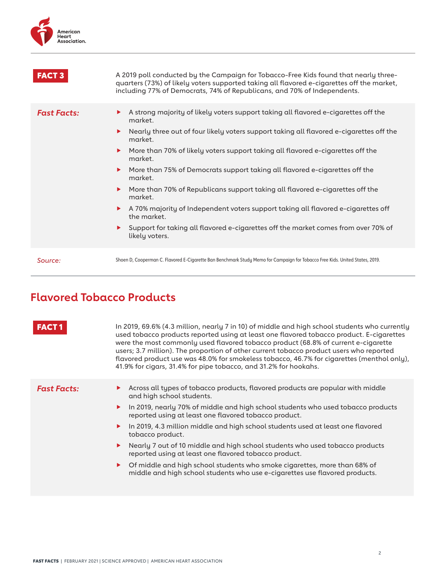

| <b>FACT 3</b>      | A 2019 poll conducted by the Campaign for Tobacco-Free Kids found that nearly three-<br>quarters (73%) of likely voters supported taking all flavored e-cigarettes off the market,<br>including 77% of Democrats, 74% of Republicans, and 70% of Independents.                                                                                                                                                                                                                                                                                                                                                                                                                                                                     |
|--------------------|------------------------------------------------------------------------------------------------------------------------------------------------------------------------------------------------------------------------------------------------------------------------------------------------------------------------------------------------------------------------------------------------------------------------------------------------------------------------------------------------------------------------------------------------------------------------------------------------------------------------------------------------------------------------------------------------------------------------------------|
| <b>Fast Facts:</b> | A strong majority of likely voters support taking all flavored e-cigarettes off the<br>▶<br>market.<br>Nearly three out of four likely voters support taking all flavored e-cigarettes off the<br>▶<br>market.<br>More than 70% of likely voters support taking all flavored e-cigarettes off the<br>▶<br>market.<br>More than 75% of Democrats support taking all flavored e-cigarettes off the<br>▶<br>market.<br>More than 70% of Republicans support taking all flavored e-cigarettes off the<br>▶<br>market.<br>A 70% majority of Independent voters support taking all flavored e-cigarettes off<br>▶<br>the market.<br>Support for taking all flavored e-cigarettes off the market comes from over 70% of<br>likely voters. |
| Source:            | Shoen D, Cooperman C. Flavored E-Cigarette Ban Benchmark Study Memo for Campaign for Tobacco Free Kids. United States, 2019.                                                                                                                                                                                                                                                                                                                                                                                                                                                                                                                                                                                                       |

### **Flavored Tobacco Products**

| used tobacco products reported using at least one flavored tobacco product. E-cigarettes | were the most commonly used flavored tobacco product (68.8% of current e-cigarette<br>users; 3.7 million). The proportion of other current tobacco product users who reported<br>flavored product use was 48.0% for smokeless tobacco, 46.7% for cigarettes (menthol only),<br>41.9% for cigars, 31.4% for pipe tobacco, and 31.2% for hookahs.                                                                                                                                                                                                                                                                                                                       |
|------------------------------------------------------------------------------------------|-----------------------------------------------------------------------------------------------------------------------------------------------------------------------------------------------------------------------------------------------------------------------------------------------------------------------------------------------------------------------------------------------------------------------------------------------------------------------------------------------------------------------------------------------------------------------------------------------------------------------------------------------------------------------|
| <b>Fast Facts:</b>                                                                       | Across all types of tobacco products, flavored products are popular with middle<br>and high school students.<br>In 2019, nearly 70% of middle and high school students who used tobacco products<br>reported using at least one flavored tobacco product.<br>In 2019, 4.3 million middle and high school students used at least one flavored<br>tobacco product.<br>Nearly 7 out of 10 middle and high school students who used tobacco products<br>reported using at least one flavored tobacco product.<br>Of middle and high school students who smoke cigarettes, more than 68% of<br>middle and high school students who use e-cigarettes use flavored products. |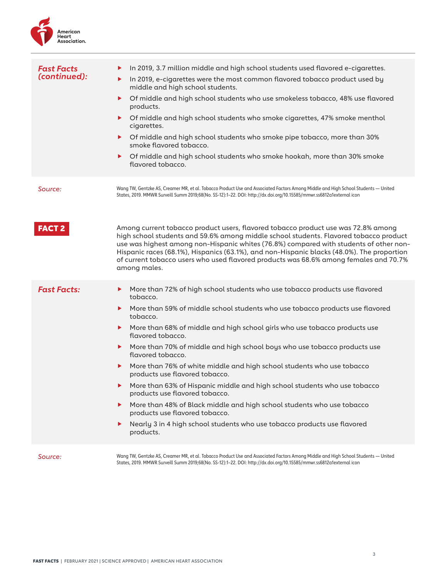

| <b>Fast Facts</b><br>(continued): | In 2019, 3.7 million middle and high school students used flavored e-cigarettes.<br>▶<br>In 2019, e-cigarettes were the most common flavored tobacco product used by<br>▶<br>middle and high school students.<br>Of middle and high school students who use smokeless tobacco, 48% use flavored<br>▶<br>products.<br>Of middle and high school students who smoke cigarettes, 47% smoke menthol<br>▶<br>cigarettes.<br>Of middle and high school students who smoke pipe tobacco, more than 30%<br>▶<br>smoke flavored tobacco.<br>Of middle and high school students who smoke hookah, more than 30% smoke<br>▶<br>flavored tobacco.                                                                                                                                                                                                                             |
|-----------------------------------|-------------------------------------------------------------------------------------------------------------------------------------------------------------------------------------------------------------------------------------------------------------------------------------------------------------------------------------------------------------------------------------------------------------------------------------------------------------------------------------------------------------------------------------------------------------------------------------------------------------------------------------------------------------------------------------------------------------------------------------------------------------------------------------------------------------------------------------------------------------------|
| Source:                           | Wang TW, Gentzke AS, Creamer MR, et al. Tobacco Product Use and Associated Factors Among Middle and High School Students - United<br>States, 2019. MMWR Surveill Summ 2019;68(No. SS-12):1-22. DOI: http://dx.doi.org/10.15585/mmwr.ss6812a1external icon                                                                                                                                                                                                                                                                                                                                                                                                                                                                                                                                                                                                         |
| <b>FACT 2</b>                     | Among current tobacco product users, flavored tobacco product use was 72.8% among<br>high school students and 59.6% among middle school students. Flavored tobacco product<br>use was highest among non-Hispanic whites (76.8%) compared with students of other non-<br>Hispanic races (68.1%), Hispanics (63.1%), and non-Hispanic blacks (48.0%). The proportion<br>of current tobacco users who used flavored products was 68.6% among females and 70.7%<br>among males.                                                                                                                                                                                                                                                                                                                                                                                       |
| <b>Fast Facts:</b>                | More than 72% of high school students who use tobacco products use flavored<br>▶<br>tobacco.<br>More than 59% of middle school students who use tobacco products use flavored<br>▶<br>tobacco.<br>More than 68% of middle and high school girls who use tobacco products use<br>▶<br>flavored tobacco.<br>More than 70% of middle and high school boys who use tobacco products use<br>▶<br>flavored tobacco.<br>More than 76% of white middle and high school students who use tobacco<br>▶<br>products use flavored tobacco.<br>More than 63% of Hispanic middle and high school students who use tobacco<br>▶<br>products use flavored tobacco.<br>More than 48% of Black middle and high school students who use tobacco<br>▶<br>products use flavored tobacco.<br>Nearly 3 in 4 high school students who use tobacco products use flavored<br>▶<br>products. |
| Source:                           | Wang TW, Gentzke AS, Creamer MR, et al. Tobacco Product Use and Associated Factors Among Middle and High School Students — United<br>States, 2019. MMWR Surveill Summ 2019;68(No. SS-12):1-22. DOI: http://dx.doi.org/10.15585/mmwr.ss6812a1external icon                                                                                                                                                                                                                                                                                                                                                                                                                                                                                                                                                                                                         |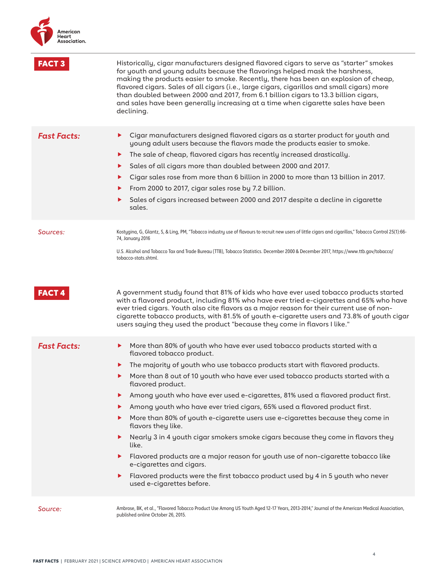| <b>FACT 3</b>      | Historically, cigar manufacturers designed flavored cigars to serve as "starter" smokes<br>for youth and young adults because the flavorings helped mask the harshness,<br>making the products easier to smoke. Recently, there has been an explosion of cheap,<br>flavored cigars. Sales of all cigars (i.e., large cigars, cigarillos and small cigars) more<br>than doubled between 2000 and 2017, from 6.1 billion cigars to 13.3 billion cigars,<br>and sales have been generally increasing at a time when cigarette sales have been<br>declining.                                                                                                                                                                                                                                                                                                                                                                          |
|--------------------|-----------------------------------------------------------------------------------------------------------------------------------------------------------------------------------------------------------------------------------------------------------------------------------------------------------------------------------------------------------------------------------------------------------------------------------------------------------------------------------------------------------------------------------------------------------------------------------------------------------------------------------------------------------------------------------------------------------------------------------------------------------------------------------------------------------------------------------------------------------------------------------------------------------------------------------|
| <b>Fast Facts:</b> | Cigar manufacturers designed flavored cigars as a starter product for youth and<br>▶<br>young adult users because the flavors made the products easier to smoke.<br>The sale of cheap, flavored cigars has recently increased drastically.<br>▶<br>Sales of all cigars more than doubled between 2000 and 2017.<br>▶<br>Cigar sales rose from more than 6 billion in 2000 to more than 13 billion in 2017.<br>From 2000 to 2017, cigar sales rose by 7.2 billion.<br>▶<br>Sales of cigars increased between 2000 and 2017 despite a decline in cigarette<br>sales.                                                                                                                                                                                                                                                                                                                                                                |
| Sources:           | Kostygina, G, Glantz, S, & Ling, PM, "Tobacco industry use of flavours to recruit new users of little cigars and cigarillos," Tobacco Control 25(1):66-<br>74, January 2016<br>U.S. Alcohol and Tobacco Tax and Trade Bureau (TTB), Tobacco Statistics. December 2000 & December 2017, https://www.ttb.gov/tobacco/<br>tobacco-stats.shtml.                                                                                                                                                                                                                                                                                                                                                                                                                                                                                                                                                                                       |
| <b>FACT4</b>       | A government study found that 81% of kids who have ever used tobacco products started<br>with a flavored product, including 81% who have ever tried e-cigarettes and 65% who have<br>ever tried cigars. Youth also cite flavors as a major reason for their current use of non-<br>cigarette tobacco products, with 81.5% of youth e-cigarette users and 73.8% of youth cigar<br>users saying they used the product "because they come in flavors I like."                                                                                                                                                                                                                                                                                                                                                                                                                                                                        |
| <b>Fast Facts:</b> | More than 80% of youth who have ever used tobacco products started with a<br>▶<br>flavored tobacco product.<br>The majority of youth who use tobacco products start with flavored products.<br>▶<br>More than 8 out of 10 youth who have ever used tobacco products started with a<br>flavored product.<br>Among youth who have ever used e-cigarettes, 81% used a flavored product first.<br>▶<br>Among youth who have ever tried cigars, 65% used a flavored product first.<br>▶<br>More than 80% of youth e-cigarette users use e-cigarettes because they come in<br>flavors they like.<br>Nearly 3 in 4 youth cigar smokers smoke cigars because they come in flavors they<br>▶<br>like.<br>Flavored products are a major reason for youth use of non-cigarette tobacco like<br>e-cigarettes and cigars.<br>Flavored products were the first tobacco product used by 4 in 5 youth who never<br>▶<br>used e-cigarettes before. |
| Source:            | Ambrose, BK, et al., "Flavored Tobacco Product Use Among US Youth Aged 12-17 Years, 2013-2014," Journal of the American Medical Association,<br>published online October 26, 2015.                                                                                                                                                                                                                                                                                                                                                                                                                                                                                                                                                                                                                                                                                                                                                |

4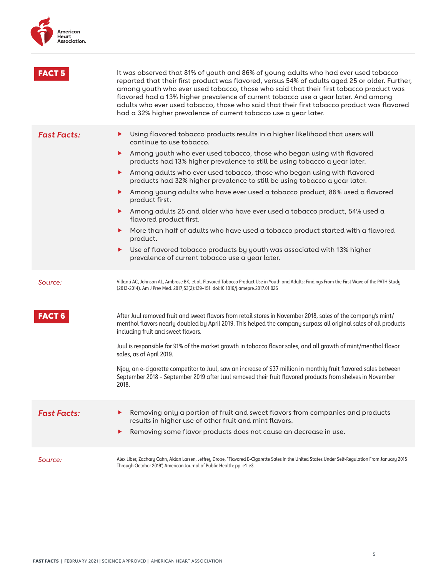

|                    | It was observed that 81% of youth and 86% of young adults who had ever used tobacco<br>reported that their first product was flavored, versus 54% of adults aged 25 or older. Further,<br>among youth who ever used tobacco, those who said that their first tobacco product was<br>flavored had a 13% higher prevalence of current tobacco use a year later. And among<br>adults who ever used tobacco, those who said that their first tobacco product was flavored<br>had a 32% higher prevalence of current tobacco use a year later.                                                                                                                                                                                                                                                                                                                                                           |
|--------------------|-----------------------------------------------------------------------------------------------------------------------------------------------------------------------------------------------------------------------------------------------------------------------------------------------------------------------------------------------------------------------------------------------------------------------------------------------------------------------------------------------------------------------------------------------------------------------------------------------------------------------------------------------------------------------------------------------------------------------------------------------------------------------------------------------------------------------------------------------------------------------------------------------------|
| <b>Fast Facts:</b> | Using flavored tobacco products results in a higher likelihood that users will<br>▶<br>continue to use tobacco.<br>Among youth who ever used tobacco, those who began using with flavored<br>▶<br>products had 13% higher prevalence to still be using tobacco a year later.<br>Among adults who ever used tobacco, those who began using with flavored<br>products had 32% higher prevalence to still be using tobacco a year later.<br>Among young adults who have ever used a tobacco product, 86% used a flavored<br>▶<br>product first.<br>Among adults 25 and older who have ever used a tobacco product, 54% used a<br>▶<br>flavored product first.<br>More than half of adults who have used a tobacco product started with a flavored<br>▶<br>product.<br>Use of flavored tobacco products by youth was associated with 13% higher<br>▶<br>prevalence of current tobacco use a year later. |
| Source:            | Villanti AC, Johnson AL, Ambrose BK, et al. Flavored Tobacco Product Use in Youth and Adults: Findings From the First Wave of the PATH Study<br>(2013-2014). Am J Prev Med. 2017;53(2):139-151. doi:10.1016/j.amepre.2017.01.026                                                                                                                                                                                                                                                                                                                                                                                                                                                                                                                                                                                                                                                                    |
| <b>FACT 6</b>      | After Juul removed fruit and sweet flavors from retail stores in November 2018, sales of the company's mint/<br>menthol flavors nearly doubled by April 2019. This helped the company surpass all original sales of all products<br>including fruit and sweet flavors.<br>Juul is responsible for 91% of the market growth in tobacco flavor sales, and all growth of mint/menthol flavor<br>sales, as of April 2019.<br>Njoy, an e-cigarette competitor to Juul, saw an increase of \$37 million in monthly fruit flavored sales between<br>September 2018 - September 2019 after Juul removed their fruit flavored products from shelves in November<br>2018.                                                                                                                                                                                                                                     |
| <b>Fast Facts:</b> | Removing only a portion of fruit and sweet flavors from companies and products<br>▶<br>results in higher use of other fruit and mint flavors.<br>Removing some flavor products does not cause an decrease in use.<br>▶                                                                                                                                                                                                                                                                                                                                                                                                                                                                                                                                                                                                                                                                              |
| Source:            | Alex Liber, Zachary Cahn, Aidan Larsen, Jeffrey Drope, "Flavored E-Cigarette Sales in the United States Under Self-Regulation From January 2015<br>Through October 2019", American Journal of Public Health: pp. e1-e3.                                                                                                                                                                                                                                                                                                                                                                                                                                                                                                                                                                                                                                                                             |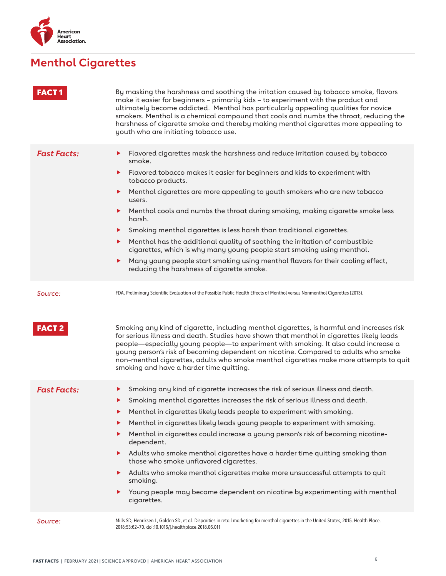

# **Menthol Cigarettes**

| <b>FACT1</b>             | By masking the harshness and soothing the irritation caused by tobacco smoke, flavors<br>make it easier for beginners - primarily kids - to experiment with the product and<br>ultimately become addicted. Menthol has particularly appealing qualities for novice<br>smokers. Menthol is a chemical compound that cools and numbs the throat, reducing the<br>harshness of cigarette smoke and thereby making menthol cigarettes more appealing to<br>youth who are initiating tobacco use.                                                                                                                                                                                                                                                                                            |
|--------------------------|-----------------------------------------------------------------------------------------------------------------------------------------------------------------------------------------------------------------------------------------------------------------------------------------------------------------------------------------------------------------------------------------------------------------------------------------------------------------------------------------------------------------------------------------------------------------------------------------------------------------------------------------------------------------------------------------------------------------------------------------------------------------------------------------|
| <b>Fast Facts:</b>       | Flavored cigarettes mask the harshness and reduce irritation caused by tobacco<br>▶<br>smoke.<br>Flavored tobacco makes it easier for beginners and kids to experiment with<br>▶<br>tobacco products.<br>Menthol cigarettes are more appealing to youth smokers who are new tobacco<br>▶<br>users.<br>Menthol cools and numbs the throat during smoking, making cigarette smoke less<br>▶<br>harsh.<br>Smoking menthol cigarettes is less harsh than traditional cigarettes.<br>▶<br>Menthol has the additional quality of soothing the irritation of combustible<br>▶<br>cigarettes, which is why many young people start smoking using menthol.<br>Many young people start smoking using menthol flavors for their cooling effect,<br>▶<br>reducing the harshness of cigarette smoke. |
| Source:<br><b>FACT 2</b> | FDA. Preliminary Scientific Evaluation of the Possible Public Health Effects of Menthol versus Nonmenthol Cigarettes (2013).<br>Smoking any kind of cigarette, including menthol cigarettes, is harmful and increases risk<br>for serious illness and death. Studies have shown that menthol in cigarettes likely leads<br>people—especially young people—to experiment with smoking. It also could increase a<br>young person's risk of becoming dependent on nicotine. Compared to adults who smoke<br>non-menthol cigarettes, adults who smoke menthol cigarettes make more attempts to quit<br>smoking and have a harder time quitting.                                                                                                                                             |
| <b>Fast Facts:</b>       | Smoking any kind of cigarette increases the risk of serious illness and death.<br>▶<br>Smoking menthol cigarettes increases the risk of serious illness and death.<br>▶<br>Menthol in cigarettes likely leads people to experiment with smoking.<br>▶<br>Menthol in cigarettes likely leads young people to experiment with smoking.<br>▶<br>Menthol in cigarettes could increase a young person's risk of becoming nicotine-<br>▶<br>dependent.<br>Adults who smoke menthol cigarettes have a harder time quitting smoking than<br>▶<br>those who smoke unflavored cigarettes.<br>Adults who smoke menthol cigarettes make more unsuccessful attempts to quit<br>▶<br>smoking.<br>Young people may become dependent on nicotine by experimenting with menthol<br>▶<br>cigarettes.      |
| Source:                  | Mills SD, Henriksen L, Golden SD, et al. Disparities in retail marketing for menthol cigarettes in the United States, 2015. Health Place.<br>2018;53:62-70. doi:10.1016/j.healthplace.2018.06.011                                                                                                                                                                                                                                                                                                                                                                                                                                                                                                                                                                                       |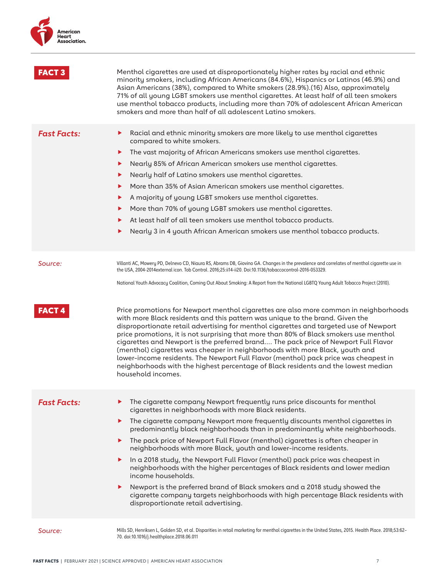

| <b>FACT</b>        | Menthol cigarettes are used at disproportionately higher rates by racial and ethnic<br>minority smokers, including African Americans (84.6%), Hispanics or Latinos (46.9%) and<br>Asian Americans (38%), compared to White smokers (28.9%).(16) Also, approximately<br>71% of all young LGBT smokers use menthol cigarettes. At least half of all teen smokers<br>use menthol tobacco products, including more than 70% of adolescent African American<br>smokers and more than half of all adolescent Latino smokers.                                                                                                                                                                                                                                                                                                                                                                  |
|--------------------|-----------------------------------------------------------------------------------------------------------------------------------------------------------------------------------------------------------------------------------------------------------------------------------------------------------------------------------------------------------------------------------------------------------------------------------------------------------------------------------------------------------------------------------------------------------------------------------------------------------------------------------------------------------------------------------------------------------------------------------------------------------------------------------------------------------------------------------------------------------------------------------------|
| <b>Fast Facts:</b> | Racial and ethnic minority smokers are more likely to use menthol cigarettes<br>▶<br>compared to white smokers.<br>The vast majority of African Americans smokers use menthol cigarettes.<br>▶<br>Nearly 85% of African American smokers use menthol cigarettes.<br>▶<br>Nearly half of Latino smokers use menthol cigarettes.<br>▶<br>More than 35% of Asian American smokers use menthol cigarettes.<br>▶<br>A majority of young LGBT smokers use menthol cigarettes.<br>▶<br>More than 70% of young LGBT smokers use menthol cigarettes.<br>At least half of all teen smokers use menthol tobacco products.<br>Nearly 3 in 4 youth African American smokers use menthol tobacco products.<br>▶                                                                                                                                                                                       |
| Source:            | Villanti AC, Mowery PD, Delnevo CD, Niaura RS, Abrams DB, Giovino GA. Changes in the prevalence and correlates of menthol cigarette use in<br>the USA, 2004-2014external icon. Tob Control. 2016;25:ii14-ii20. Doi:10.1136/tobaccocontrol-2016-053329.<br>National Youth Advocacy Coalition, Coming Out About Smoking: A Report from the National LGBTQ Young Adult Tobacco Project (2010).                                                                                                                                                                                                                                                                                                                                                                                                                                                                                             |
| <b>FACT4</b>       | Price promotions for Newport menthol cigarettes are also more common in neighborhoods<br>with more Black residents and this pattern was unique to the brand. Given the<br>disproportionate retail advertising for menthol cigarettes and targeted use of Newport<br>price promotions, it is not surprising that more than 80% of Black smokers use menthol<br>cigarettes and Newport is the preferred brand The pack price of Newport Full Flavor<br>(menthol) cigarettes was cheaper in neighborhoods with more Black, youth and<br>lower-income residents. The Newport Full Flavor (menthol) pack price was cheapest in<br>neighborhoods with the highest percentage of Black residents and the lowest median<br>household incomes.                                                                                                                                                   |
| <b>Fast Facts:</b> | The cigarette company Newport frequently runs price discounts for menthol<br>▶<br>cigarettes in neighborhoods with more Black residents.<br>The cigarette company Newport more frequently discounts menthol cigarettes in<br>▶<br>predominantly black neighborhoods than in predominantly white neighborhoods.<br>The pack price of Newport Full Flavor (menthol) cigarettes is often cheaper in<br>▶<br>neighborhoods with more Black, youth and lower-income residents.<br>In a 2018 study, the Newport Full Flavor (menthol) pack price was cheapest in<br>▶<br>neighborhoods with the higher percentages of Black residents and lower median<br>income households.<br>Newport is the preferred brand of Black smokers and a 2018 study showed the<br>▶<br>cigarette company targets neighborhoods with high percentage Black residents with<br>disproportionate retail advertising. |
| Source:            | Mills SD, Henriksen L, Golden SD, et al. Disparities in retail marketing for menthol cigarettes in the United States, 2015. Health Place. 2018;53:62-<br>70. doi:10.1016/j.healthplace.2018.06.011                                                                                                                                                                                                                                                                                                                                                                                                                                                                                                                                                                                                                                                                                      |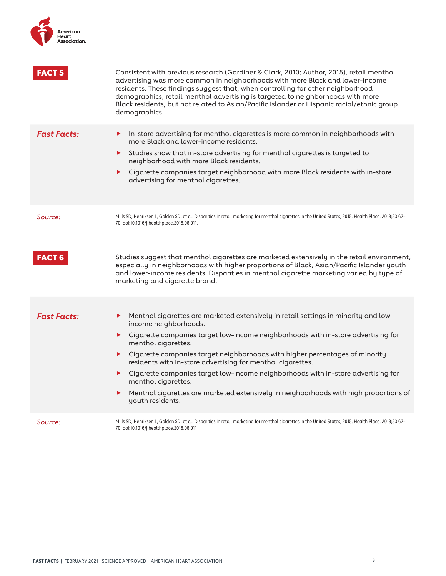

| FACT 5             | Consistent with previous research (Gardiner & Clark, 2010; Author, 2015), retail menthol<br>advertising was more common in neighborhoods with more Black and lower-income<br>residents. These findings suggest that, when controlling for other neighborhood<br>demographics, retail menthol advertising is targeted to neighborhoods with more<br>Black residents, but not related to Asian/Pacific Islander or Hispanic racial/ethnic group<br>demographics.                                                                                                                                                                              |
|--------------------|---------------------------------------------------------------------------------------------------------------------------------------------------------------------------------------------------------------------------------------------------------------------------------------------------------------------------------------------------------------------------------------------------------------------------------------------------------------------------------------------------------------------------------------------------------------------------------------------------------------------------------------------|
| <b>Fast Facts:</b> | In-store advertising for menthol cigarettes is more common in neighborhoods with<br>▶<br>more Black and lower-income residents.<br>Studies show that in-store advertising for menthol cigarettes is targeted to<br>▶<br>neighborhood with more Black residents.<br>Cigarette companies target neighborhood with more Black residents with in-store<br>▶<br>advertising for menthol cigarettes.                                                                                                                                                                                                                                              |
| Source:            | Mills SD, Henriksen L, Golden SD, et al. Disparities in retail marketing for menthol cigarettes in the United States, 2015. Health Place. 2018;53:62-<br>70. doi:10.1016/j.healthplace.2018.06.011.                                                                                                                                                                                                                                                                                                                                                                                                                                         |
| FACT 6             | Studies suggest that menthol cigarettes are marketed extensively in the retail environment,<br>especially in neighborhoods with higher proportions of Black, Asian/Pacific Islander youth<br>and lower-income residents. Disparities in menthol cigarette marketing varied by type of<br>marketing and cigarette brand.                                                                                                                                                                                                                                                                                                                     |
| <b>Fast Facts:</b> | Menthol cigarettes are marketed extensively in retail settings in minority and low-<br>►<br>income neighborhoods.<br>• Cigarette companies target low-income neighborhoods with in-store advertising for<br>menthol cigarettes.<br>Cigarette companies target neighborhoods with higher percentages of minority<br>$\blacktriangleright$<br>residents with in-store advertising for menthol cigarettes.<br>Cigarette companies target low-income neighborhoods with in-store advertising for<br>▶.<br>menthol cigarettes.<br>Menthol cigarettes are marketed extensively in neighborhoods with high proportions of<br>▶<br>youth residents. |
| Source:            | Mills SD, Henriksen L, Golden SD, et al. Disparities in retail marketing for menthol cigarettes in the United States, 2015. Health Place. 2018;53:62-<br>70. doi:10.1016/j.healthplace.2018.06.011                                                                                                                                                                                                                                                                                                                                                                                                                                          |

8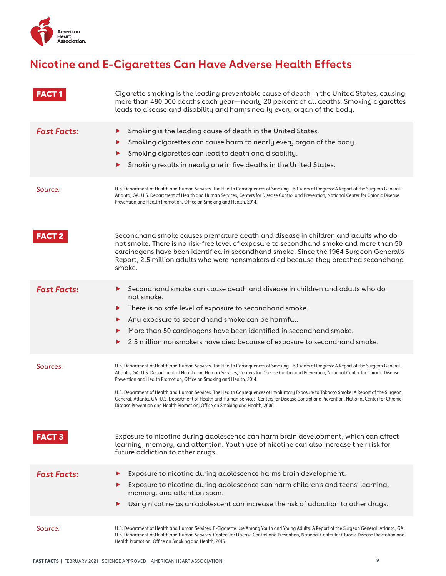

## **Nicotine and E-Cigarettes Can Have Adverse Health Effects**

| <b>FACT1</b>              | Cigarette smoking is the leading preventable cause of death in the United States, causing<br>more than 480,000 deaths each year-nearly 20 percent of all deaths. Smoking cigarettes<br>leads to disease and disability and harms nearly every organ of the body.                                                                                                                                                                                                                                                                                                                                                                                                                                                                                                                                                                |
|---------------------------|---------------------------------------------------------------------------------------------------------------------------------------------------------------------------------------------------------------------------------------------------------------------------------------------------------------------------------------------------------------------------------------------------------------------------------------------------------------------------------------------------------------------------------------------------------------------------------------------------------------------------------------------------------------------------------------------------------------------------------------------------------------------------------------------------------------------------------|
| <b>Fast Facts:</b>        | Smoking is the leading cause of death in the United States.<br>▶<br>Smoking cigarettes can cause harm to nearly every organ of the body.<br>Smoking cigarettes can lead to death and disability.<br>Smoking results in nearly one in five deaths in the United States.                                                                                                                                                                                                                                                                                                                                                                                                                                                                                                                                                          |
| Source:                   | U.S. Department of Health and Human Services. The Health Consequences of Smoking-50 Years of Progress: A Report of the Surgeon General.<br>Atlanta, GA: U.S. Department of Health and Human Services, Centers for Disease Control and Prevention, National Center for Chronic Disease<br>Prevention and Health Promotion, Office on Smoking and Health, 2014.                                                                                                                                                                                                                                                                                                                                                                                                                                                                   |
| <b>FACT 2</b>             | Secondhand smoke causes premature death and disease in children and adults who do<br>not smoke. There is no risk-free level of exposure to secondhand smoke and more than 50<br>carcinogens have been identified in secondhand smoke. Since the 1964 Surgeon General's<br>Report, 2.5 million adults who were nonsmokers died because they breathed secondhand<br>smoke.                                                                                                                                                                                                                                                                                                                                                                                                                                                        |
| <b>Fast Facts:</b>        | Secondhand smoke can cause death and disease in children and adults who do<br>▶<br>not smoke.<br>There is no safe level of exposure to secondhand smoke.<br>Any exposure to secondhand smoke can be harmful.<br>More than 50 carcinogens have been identified in secondhand smoke.<br>▶<br>2.5 million nonsmokers have died because of exposure to secondhand smoke.<br>▶                                                                                                                                                                                                                                                                                                                                                                                                                                                       |
| Sources:<br><b>FACT 3</b> | U.S. Department of Health and Human Services. The Health Consequences of Smoking-50 Years of Progress: A Report of the Surgeon General.<br>Atlanta, GA: U.S. Department of Health and Human Services, Centers for Disease Control and Prevention, National Center for Chronic Disease<br>Prevention and Health Promotion, Office on Smoking and Health, 2014.<br>U.S. Department of Health and Human Services: The Health Consequences of Involuntary Exposure to Tobacco Smoke: A Report of the Surgeon<br>General. Atlanta, GA: U.S. Department of Health and Human Services, Centers for Disease Control and Prevention, National Center for Chronic<br>Disease Prevention and Health Promotion, Office on Smoking and Health, 2006.<br>Exposure to nicotine during adolescence can harm brain development, which can affect |
|                           | learning, memory, and attention. Youth use of nicotine can also increase their risk for<br>future addiction to other drugs.                                                                                                                                                                                                                                                                                                                                                                                                                                                                                                                                                                                                                                                                                                     |
| <b>Fast Facts:</b>        | Exposure to nicotine during adolescence harms brain development.<br>Exposure to nicotine during adolescence can harm children's and teens' learning,<br>memory, and attention span.<br>Using nicotine as an adolescent can increase the risk of addiction to other drugs.                                                                                                                                                                                                                                                                                                                                                                                                                                                                                                                                                       |
| Source:                   | U.S. Department of Health and Human Services. E-Cigarette Use Among Youth and Young Adults. A Report of the Surgeon General. Atlanta, GA:<br>U.S. Department of Health and Human Services, Centers for Disease Control and Prevention, National Center for Chronic Disease Prevention and<br>Health Promotion, Office on Smoking and Health, 2016.                                                                                                                                                                                                                                                                                                                                                                                                                                                                              |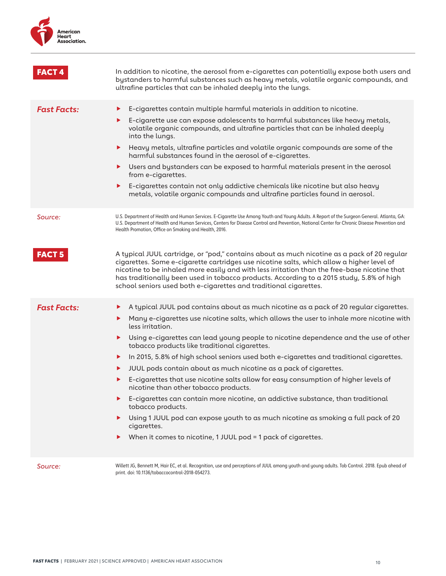

| <b>FACT4</b>       | In addition to nicotine, the aerosol from e-cigarettes can potentially expose both users and<br>bystanders to harmful substances such as heavy metals, volatile organic compounds, and<br>ultrafine particles that can be inhaled deeply into the lungs.                                                                                                                                                                                                                                                                                                                                                                                                                                                                                                                                                                                                                                                                                                                    |
|--------------------|-----------------------------------------------------------------------------------------------------------------------------------------------------------------------------------------------------------------------------------------------------------------------------------------------------------------------------------------------------------------------------------------------------------------------------------------------------------------------------------------------------------------------------------------------------------------------------------------------------------------------------------------------------------------------------------------------------------------------------------------------------------------------------------------------------------------------------------------------------------------------------------------------------------------------------------------------------------------------------|
| <b>Fast Facts:</b> | E-cigarettes contain multiple harmful materials in addition to nicotine.<br>▶<br>E-cigarette use can expose adolescents to harmful substances like heavy metals,<br>▶<br>volatile organic compounds, and ultrafine particles that can be inhaled deeply<br>into the lungs.<br>Heavy metals, ultrafine particles and volatile organic compounds are some of the<br>▶<br>harmful substances found in the aerosol of e-cigarettes.<br>Users and bystanders can be exposed to harmful materials present in the aerosol<br>▶<br>from e-cigarettes.<br>E-cigarettes contain not only addictive chemicals like nicotine but also heavy<br>▶<br>metals, volatile organic compounds and ultrafine particles found in aerosol.                                                                                                                                                                                                                                                        |
| Source:            | U.S. Department of Health and Human Services. E-Cigarette Use Among Youth and Young Adults. A Report of the Surgeon General. Atlanta, GA:<br>U.S. Department of Health and Human Services, Centers for Disease Control and Prevention, National Center for Chronic Disease Prevention and<br>Health Promotion, Office on Smoking and Health, 2016.                                                                                                                                                                                                                                                                                                                                                                                                                                                                                                                                                                                                                          |
| <b>FACT 5</b>      | A typical JUUL cartridge, or "pod," contains about as much nicotine as a pack of 20 regular<br>cigarettes. Some e-cigarette cartridges use nicotine salts, which allow a higher level of<br>nicotine to be inhaled more easily and with less irritation than the free-base nicotine that<br>has traditionally been used in tobacco products. According to a 2015 study, 5.8% of high<br>school seniors used both e-cigarettes and traditional cigarettes.                                                                                                                                                                                                                                                                                                                                                                                                                                                                                                                   |
| <b>Fast Facts:</b> | A typical JUUL pod contains about as much nicotine as a pack of 20 regular cigarettes.<br>▶<br>Many e-cigarettes use nicotine salts, which allows the user to inhale more nicotine with<br>▶<br>less irritation.<br>Using e-cigarettes can lead young people to nicotine dependence and the use of other<br>▶<br>tobacco products like traditional cigarettes.<br>In 2015, 5.8% of high school seniors used both e-cigarettes and traditional cigarettes.<br>▶<br>JUUL pods contain about as much nicotine as a pack of cigarettes.<br>▶<br>E-cigarettes that use nicotine salts allow for easy consumption of higher levels of<br>▶<br>nicotine than other tobacco products.<br>E-cigarettes can contain more nicotine, an addictive substance, than traditional<br>▶<br>tobacco products.<br>Using 1 JUUL pod can expose youth to as much nicotine as smoking a full pack of 20<br>▶<br>cigarettes.<br>When it comes to nicotine, 1 JUUL pod = 1 pack of cigarettes.<br>▶ |
| Source:            | Willett JG, Bennett M, Hair EC, et al. Recognition, use and perceptions of JUUL among youth and young adults. Tob Control. 2018. Epub ahead of<br>print. doi: 10.1136/tobaccocontrol-2018-054273.                                                                                                                                                                                                                                                                                                                                                                                                                                                                                                                                                                                                                                                                                                                                                                           |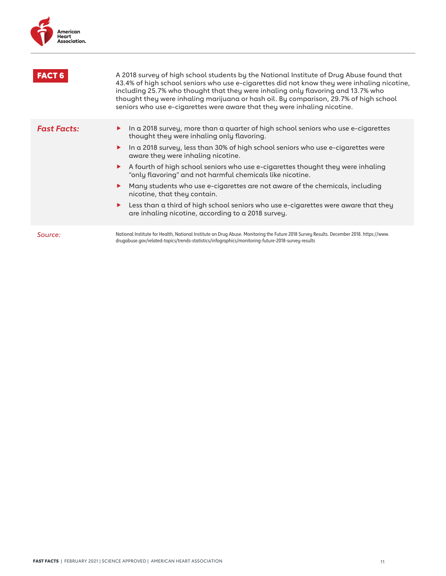

| <b>FACT 6</b>      | A 2018 survey of high school students by the National Institute of Drug Abuse found that<br>43.4% of high school seniors who use e-cigarettes did not know they were inhaling nicotine,<br>including 25.7% who thought that they were inhaling only flavoring and 13.7% who<br>thought they were inhaling marijuana or hash oil. By comparison, 29.7% of high school<br>seniors who use e-cigarettes were aware that they were inhaling nicotine.                                                                                                                                                                                                                                    |
|--------------------|--------------------------------------------------------------------------------------------------------------------------------------------------------------------------------------------------------------------------------------------------------------------------------------------------------------------------------------------------------------------------------------------------------------------------------------------------------------------------------------------------------------------------------------------------------------------------------------------------------------------------------------------------------------------------------------|
| <b>Fast Facts:</b> | In a 2018 survey, more than a quarter of high school seniors who use e-cigarettes<br>thought they were inhaling only flavoring.<br>In a 2018 survey, less than 30% of high school seniors who use e-cigarettes were<br>▶<br>aware they were inhaling nicotine.<br>A fourth of high school seniors who use e-cigarettes thought they were inhaling<br>▶<br>"only flavoring" and not harmful chemicals like nicotine.<br>Many students who use e-cigarettes are not aware of the chemicals, including<br>nicotine, that they contain.<br>Less than a third of high school seniors who use e-cigarettes were aware that they<br>▶<br>are inhaling nicotine, according to a 2018 survey. |
| Source:            | National Institute for Health, National Institute on Drug Abuse. Monitoring the Future 2018 Survey Results. December 2018. https://www.<br>drugabuse.gov/related-topics/trends-statistics/infographics/monitoring-future-2018-survey-results                                                                                                                                                                                                                                                                                                                                                                                                                                         |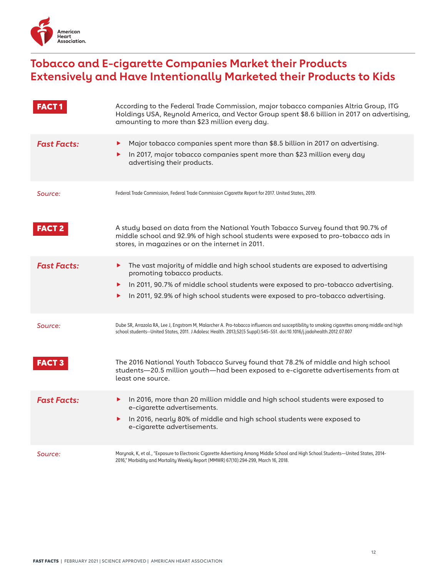

#### **Tobacco and E-cigarette Companies Market their Products Extensively and Have Intentionally Marketed their Products to Kids**

| <b>FACT</b>        | According to the Federal Trade Commission, major tobacco companies Altria Group, ITG<br>Holdings USA, Reynold America, and Vector Group spent \$8.6 billion in 2017 on advertising,<br>amounting to more than \$23 million every day.                                                            |
|--------------------|--------------------------------------------------------------------------------------------------------------------------------------------------------------------------------------------------------------------------------------------------------------------------------------------------|
| <b>Fast Facts:</b> | Major tobacco companies spent more than \$8.5 billion in 2017 on advertising.<br>▶<br>In 2017, major tobacco companies spent more than \$23 million every day<br>advertising their products.                                                                                                     |
| Source:            | Federal Trade Commission, Federal Trade Commission Cigarette Report for 2017. United States, 2019.                                                                                                                                                                                               |
| <b>FACT 2</b>      | A study based on data from the National Youth Tobacco Survey found that 90.7% of<br>middle school and 92.9% of high school students were exposed to pro-tobacco ads in<br>stores, in magazines or on the internet in 2011.                                                                       |
| <b>Fast Facts:</b> | The vast majority of middle and high school students are exposed to advertising<br>▶<br>promoting tobacco products.<br>In 2011, 90.7% of middle school students were exposed to pro-tobacco advertising.<br>▶<br>In 2011, 92.9% of high school students were exposed to pro-tobacco advertising. |
| Source:            | Dube SR, Arrazola RA, Lee J, Engstrom M, Malarcher A. Pro-tobacco influences and susceptibility to smoking cigarettes among middle and high<br>school students--United States, 2011. J Adolesc Health. 2013;52(5 Suppl):S45-S51. doi:10.1016/j.jadohealth.2012.07.007                            |
| <b>FACT 3</b>      | The 2016 National Youth Tobacco Survey found that 78.2% of middle and high school<br>students-20.5 million youth-had been exposed to e-cigarette advertisements from at<br>least one source.                                                                                                     |
| <b>Fast Facts:</b> | In 2016, more than 20 million middle and high school students were exposed to<br>▶<br>e-cigarette advertisements.<br>In 2016, nearly 80% of middle and high school students were exposed to<br>▶<br>e-cigarette advertisements.                                                                  |
| Source:            | Marynak, K, et al., "Exposure to Electronic Cigarette Advertising Among Middle School and High School Students-United States, 2014-<br>2016," Morbidity and Mortality Weekly Report (MMWR) 67(10):294-299, March 16, 2018.                                                                       |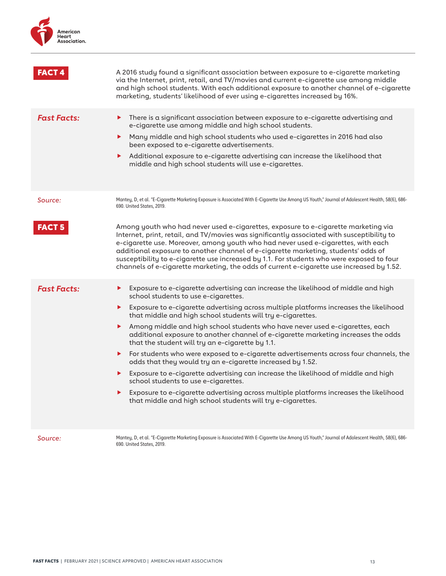

|                    | A 2016 study found a significant association between exposure to e-cigarette marketing<br>via the Internet, print, retail, and TV/movies and current e-cigarette use among middle<br>and high school students. With each additional exposure to another channel of e-cigarette<br>marketing, students' likelihood of ever using e-cigarettes increased by 16%.                                                                                                                                                                                                                                                                                                                                                                                                                                                                                                                                                                                                         |
|--------------------|------------------------------------------------------------------------------------------------------------------------------------------------------------------------------------------------------------------------------------------------------------------------------------------------------------------------------------------------------------------------------------------------------------------------------------------------------------------------------------------------------------------------------------------------------------------------------------------------------------------------------------------------------------------------------------------------------------------------------------------------------------------------------------------------------------------------------------------------------------------------------------------------------------------------------------------------------------------------|
| <b>Fast Facts:</b> | There is a significant association between exposure to e-cigarette advertising and<br>▶<br>e-cigarette use among middle and high school students.<br>Many middle and high school students who used e-cigarettes in 2016 had also<br>been exposed to e-cigarette advertisements.<br>Additional exposure to e-cigarette advertising can increase the likelihood that<br>middle and high school students will use e-cigarettes.                                                                                                                                                                                                                                                                                                                                                                                                                                                                                                                                           |
| Source:            | Mantey, D, et al. "E-Cigarette Marketing Exposure is Associated With E-Cigarette Use Among US Youth," Journal of Adolescent Health, 58(6), 686-<br>690. United States, 2019.                                                                                                                                                                                                                                                                                                                                                                                                                                                                                                                                                                                                                                                                                                                                                                                           |
| <b>FACT 5</b>      | Among youth who had never used e-cigarettes, exposure to e-cigarette marketing via<br>Internet, print, retail, and TV/movies was significantly associated with susceptibility to<br>e-cigarette use. Moreover, among youth who had never used e-cigarettes, with each<br>additional exposure to another channel of e-cigarette marketing, students' odds of<br>susceptibility to e-cigarette use increased by 1.1. For students who were exposed to four<br>channels of e-cigarette marketing, the odds of current e-cigarette use increased by 1.52.                                                                                                                                                                                                                                                                                                                                                                                                                  |
| <b>Fast Facts:</b> | Exposure to e-cigarette advertising can increase the likelihood of middle and high<br>▶.<br>school students to use e-cigarettes.<br>Exposure to e-cigarette advertising across multiple platforms increases the likelihood<br>that middle and high school students will try e-cigarettes.<br>Among middle and high school students who have never used e-cigarettes, each<br>additional exposure to another channel of e-cigarette marketing increases the odds<br>that the student will try an e-cigarette by 1.1.<br>For students who were exposed to e-cigarette advertisements across four channels, the<br>▶<br>odds that they would try an e-cigarette increased by 1.52.<br>Exposure to e-cigarette advertising can increase the likelihood of middle and high<br>school students to use e-cigarettes.<br>Exposure to e-cigarette advertising across multiple platforms increases the likelihood<br>that middle and high school students will try e-cigarettes. |
| Source:            | Mantey, D, et al. "E-Cigarette Marketing Exposure is Associated With E-Cigarette Use Among US Youth," Journal of Adolescent Health, 58(6), 686-<br>690. United States, 2019.                                                                                                                                                                                                                                                                                                                                                                                                                                                                                                                                                                                                                                                                                                                                                                                           |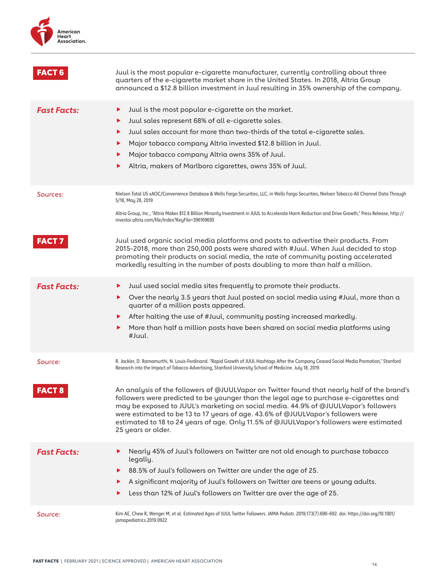

| <b>FACT 6</b>      | Juul is the most popular e-cigarette manufacturer, currently controlling about three<br>quarters of the e-cigarette market share in the United States. In 2018, Altria Group<br>announced a \$12.8 billion investment in Juul resulting in 35% ownership of the company.                                                                                                                                                                                                          |
|--------------------|-----------------------------------------------------------------------------------------------------------------------------------------------------------------------------------------------------------------------------------------------------------------------------------------------------------------------------------------------------------------------------------------------------------------------------------------------------------------------------------|
| <b>Fast Facts:</b> | Juul is the most popular e-cigarette on the market.<br>▶<br>Juul sales represent 68% of all e-cigarette sales.<br>▶<br>Juul sales account for more than two-thirds of the total e-cigarette sales.<br>▶<br>Major tobacco company Altria invested \$12.8 billion in Juul.<br>▶<br>Major tobacco company Altria owns 35% of Juul.<br>▶<br>Altria, makers of Marlboro cigarettes, owns 35% of Juul.                                                                                  |
| Sources:           | Nielsen Total US xAOC/Convenience Database & Wells Fargo Securities, LLC, in Wells Fargo Securities, Nielsen Tobacco All Channel Data Through<br>5/18, May 28, 2019<br>Altria Group, Inc., "Altria Makes \$12.8 Billion Minority Investment in JUUL to Accelerate Harm Reduction and Drive Growth," Press Release, http://<br>investor.altria.com/file/Index?KeyFile=396169695                                                                                                    |
| <b>FACT7</b>       | Juul used organic social media platforms and posts to advertise their products. From<br>2015-2018, more than 250,000 posts were shared with #Juul. When Juul decided to stop<br>promoting their products on social media, the rate of community posting accelerated<br>markedly resulting in the number of posts doubling to more than half a million.                                                                                                                            |
| <b>Fast Facts:</b> | Juul used social media sites frequently to promote their products.<br>▶<br>Over the nearly 3.5 years that Juul posted on social media using #Juul, more than a<br>▶<br>quarter of a million posts appeared.<br>After halting the use of #Juul, community posting increased markedly.<br>▶<br>More than half a million posts have been shared on social media platforms using<br>▶<br>#Juul.                                                                                       |
| Source:            | R. Jackler, D. Ramamurthi, N. Louis-Ferdinand. "Rapid Growth of JUUL Hashtags After the Company Ceased Social Media Promotion," Stanford<br>Research into the Impact of Tobacco Advertising, Stanford University School of Medicine. July 18, 2019.                                                                                                                                                                                                                               |
| <b>FACT 8</b>      | An analysis of the followers of @JUULVapor on Twitter found that nearly half of the brand's<br>followers were predicted to be younger than the legal age to purchase e-cigarettes and<br>may be exposed to JUUL's marketing on social media. 44.9% of @JUULVapor's followers<br>were estimated to be 13 to 17 years of age. 43.6% of @JUULVapor's followers were<br>estimated to 18 to 24 years of age. Only 11.5% of @JUULVapor's followers were estimated<br>25 years or older. |
| <b>Fast Facts:</b> | Nearly 45% of Juul's followers on Twitter are not old enough to purchase tobacco<br>▶<br>legally.<br>88.5% of Juul's followers on Twitter are under the age of 25.<br>▶<br>A significant majority of Juul's followers on Twitter are teens or young adults.<br>▶<br>Less than 12% of Juul's followers on Twitter are over the age of 25.                                                                                                                                          |
| Source:            | Kim AE, Chew R, Wenger M, et al. Estimated Ages of JUUL Twitter Followers. JAMA Pediatr. 2019;173(7):690-692. doi: https://doi.org/10.1001/<br>jamapediatrics.2019.0922                                                                                                                                                                                                                                                                                                           |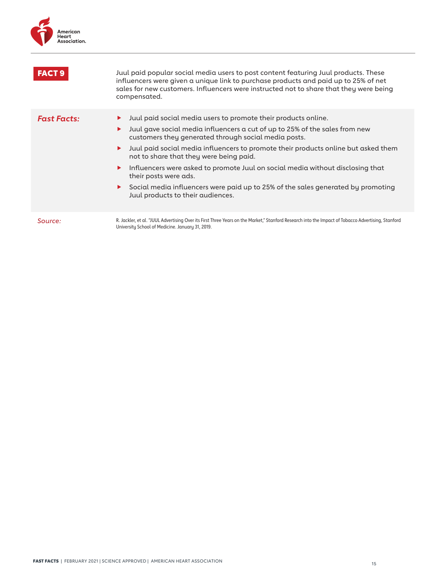

| <b>FACT 9</b>      | Juul paid popular social media users to post content featuring Juul products. These<br>influencers were given a unique link to purchase products and paid up to 25% of net<br>sales for new customers. Influencers were instructed not to share that they were being<br>compensated.                                                                                                                                                                                                                                                                                                                            |
|--------------------|-----------------------------------------------------------------------------------------------------------------------------------------------------------------------------------------------------------------------------------------------------------------------------------------------------------------------------------------------------------------------------------------------------------------------------------------------------------------------------------------------------------------------------------------------------------------------------------------------------------------|
| <b>Fast Facts:</b> | Juul paid social media users to promote their products online.<br>▶<br>Juul gave social media influencers a cut of up to 25% of the sales from new<br>▶<br>customers they generated through social media posts.<br>Juul paid social media influencers to promote their products online but asked them<br>▶<br>not to share that they were being paid.<br>Influencers were asked to promote Juul on social media without disclosing that<br>▶<br>their posts were ads.<br>$\triangleright$ Social media influencers were paid up to 25% of the sales generated by promoting<br>Juul products to their audiences. |
| Source:            | R. Jackler, et al. "JUUL Advertising Over its First Three Years on the Market," Stanford Research into the Impact of Tobacco Advertising, Stanford<br>University School of Medicine. January 31, 2019.                                                                                                                                                                                                                                                                                                                                                                                                          |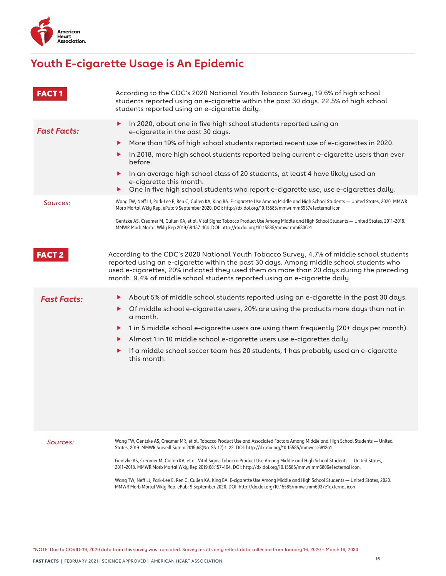

### **Youth E-cigarette Usage is An Epidemic**

| <b>FACT1</b>       | According to the CDC's 2020 National Youth Tobacco Survey, 19.6% of high school<br>students reported using an e-cigarette within the past 30 days. 22.5% of high school<br>students reported using an e-cigarette daily.                                                                                                                                                                                                                                                                                                                                                                                                                                                                                                                                        |
|--------------------|-----------------------------------------------------------------------------------------------------------------------------------------------------------------------------------------------------------------------------------------------------------------------------------------------------------------------------------------------------------------------------------------------------------------------------------------------------------------------------------------------------------------------------------------------------------------------------------------------------------------------------------------------------------------------------------------------------------------------------------------------------------------|
| <b>Fast Facts:</b> | In 2020, about one in five high school students reported using an<br>▶<br>e-cigarette in the past 30 days.<br>More than 19% of high school students reported recent use of e-cigarettes in 2020.<br>▶<br>In 2018, more high school students reported being current e-cigarette users than ever<br>▶<br>before.<br>In an average high school class of 20 students, at least 4 have likely used an<br>▶<br>e-cigarette this month.<br>One in five high school students who report e-cigarette use, use e-cigarettes daily.<br>▶                                                                                                                                                                                                                                   |
| Sources:           | Wang TW, Neff LJ, Park-Lee E, Ren C, Cullen KA, King BA. E-cigarette Use Among Middle and High School Students — United States, 2020. MMWR<br>Morb Mortal Wkly Rep. ePub: 9 September 2020. DOI: http://dx.doi.org/10.15585/mmwr.mm6937e1external icon<br>Gentzke AS, Creamer M, Cullen KA, et al. Vital Signs: Tobacco Product Use Among Middle and High School Students — United States, 2011-2018.<br>MMWR Morb Mortal Wkly Rep 2019;68:157-164. DOI: http://dx.doi.org/10.15585/mmwr.mm6806e1                                                                                                                                                                                                                                                               |
| <b>FACT 2</b>      | According to the CDC's 2020 National Youth Tobacco Survey, 4.7% of middle school students<br>reported using an e-cigarette within the past 30 days. Among middle school students who<br>used e-cigarettes, 20% indicated they used them on more than 20 days during the preceding<br>month. 9.4% of middle school students reported using an e-cigarette daily.                                                                                                                                                                                                                                                                                                                                                                                                 |
| <b>Fast Facts:</b> | About 5% of middle school students reported using an e-cigarette in the past 30 days.<br>▶<br>Of middle school e-cigarette users, 20% are using the products more days than not in<br>▶<br>a month.<br>1 in 5 middle school e-cigarette users are using them frequently (20+ days per month).<br>▶<br>Almost 1 in 10 middle school e-cigarette users use e-cigarettes daily.<br>▶<br>If a middle school soccer team has 20 students, 1 has probably used an e-cigarette<br>▶<br>this month.                                                                                                                                                                                                                                                                     |
| Sources:           | Wang TW, Gentzke AS, Creamer MR, et al. Tobacco Product Use and Associated Factors Among Middle and High School Students — United<br>States, 2019. MMWR Surveill Summ 2019;68(No. SS-12):1-22. DOI: http://dx.doi.org/10.15585/mmwr.ss6812a1<br>Gentzke AS, Creamer M, Cullen KA, et al. Vital Signs: Tobacco Product Use Among Middle and High School Students — United States,<br>2011-2018. MMWR Morb Mortal Wkly Rep 2019;68:157-164. DOI: http://dx.doi.org/10.15585/mmwr.mm6806e1external icon.<br>Wang TW, Neff LJ, Park-Lee E, Ren C, Cullen KA, King BA. E-cigarette Use Among Middle and High School Students — United States, 2020.<br>MMWR Morb Mortal Wkly Rep. ePub: 9 September 2020. DOI: http://dx.doi.org/10.15585/mmwr.mm6937e1external icon |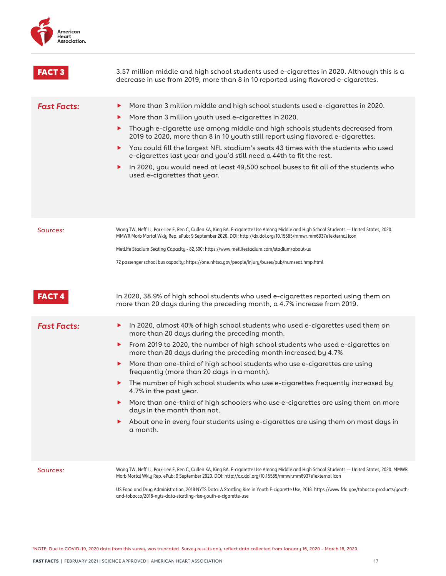| American     |
|--------------|
| Heart        |
| Association. |
|              |

| <b>FACT 3</b>      | 3.57 million middle and high school students used e-cigarettes in 2020. Although this is a<br>decrease in use from 2019, more than 8 in 10 reported using flavored e-cigarettes.                                                                                                                                                                                                                                                                                                                                                                                                                                                                                                                                                                              |
|--------------------|---------------------------------------------------------------------------------------------------------------------------------------------------------------------------------------------------------------------------------------------------------------------------------------------------------------------------------------------------------------------------------------------------------------------------------------------------------------------------------------------------------------------------------------------------------------------------------------------------------------------------------------------------------------------------------------------------------------------------------------------------------------|
| <b>Fast Facts:</b> | More than 3 million middle and high school students used e-cigarettes in 2020.<br>▶<br>More than 3 million youth used e-cigarettes in 2020.<br>Though e-cigarette use among middle and high schools students decreased from<br>▶<br>2019 to 2020, more than 8 in 10 youth still report using flavored e-cigarettes.<br>You could fill the largest NFL stadium's seats 43 times with the students who used<br>e-cigarettes last year and you'd still need a 44th to fit the rest.<br>In 2020, you would need at least 49,500 school buses to fit all of the students who<br>used e-cigarettes that year.                                                                                                                                                       |
| Sources:           | Wang TW, Neff LJ, Park-Lee E, Ren C, Cullen KA, King BA. E-cigarette Use Among Middle and High School Students — United States, 2020.<br>MMWR Morb Mortal Wkly Rep. ePub: 9 September 2020. DOI: http://dx.doi.org/10.15585/mmwr.mm6937e1external icon<br>MetLife Stadium Seating Capacity - 82,500: https://www.metlifestadium.com/stadium/about-us<br>72 passenger school bus capacity: https://one.nhtsa.gov/people/injury/buses/pub/numseat.hmp.html                                                                                                                                                                                                                                                                                                      |
| <b>FACT4</b>       | In 2020, 38.9% of high school students who used e-cigarettes reported using them on<br>more than 20 days during the preceding month, a 4.7% increase from 2019.                                                                                                                                                                                                                                                                                                                                                                                                                                                                                                                                                                                               |
| <b>Fast Facts:</b> | In 2020, almost 40% of high school students who used e-cigarettes used them on<br>▶<br>more than 20 days during the preceding month.<br>From 2019 to 2020, the number of high school students who used e-cigarettes on<br>more than 20 days during the preceding month increased by 4.7%<br>More than one-third of high school students who use e-cigarettes are using<br>▶.<br>frequently (more than 20 days in a month).<br>The number of high school students who use e-cigarettes frequently increased by<br>4.7% in the past year.<br>More than one-third of high schoolers who use e-cigarettes are using them on more<br>days in the month than not.<br>About one in every four students using e-cigarettes are using them on most days in<br>a month. |
| Sources:           | Wang TW, Neff LJ, Park-Lee E, Ren C, Cullen KA, King BA. E-cigarette Use Among Middle and High School Students — United States, 2020. MMWR<br>Morb Mortal Wkly Rep. ePub: 9 September 2020. DOI: http://dx.doi.org/10.15585/mmwr.mm6937e1external icon<br>US Food and Drug Administration, 2018 NYTS Data: A Startling Rise in Youth E-cigarette Use, 2018. https://www.fda.gov/tobacco-products/youth-<br>and-tobacco/2018-nyts-data-startling-rise-youth-e-cigarette-use                                                                                                                                                                                                                                                                                    |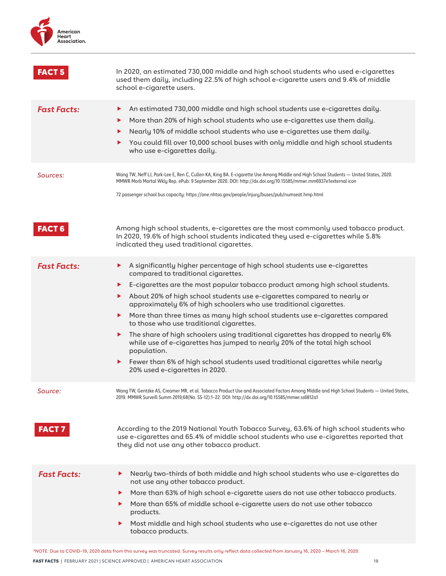

| <b>FACT 5</b>           | In 2020, an estimated 730,000 middle and high school students who used e-cigarettes<br>used them daily, including 22.5% of high school e-cigarette users and 9.4% of middle<br>school e-cigarette users.                                                                                                                                                                                                                                                                                                                                                                                                                                                                                                                                                                                                              |
|-------------------------|-----------------------------------------------------------------------------------------------------------------------------------------------------------------------------------------------------------------------------------------------------------------------------------------------------------------------------------------------------------------------------------------------------------------------------------------------------------------------------------------------------------------------------------------------------------------------------------------------------------------------------------------------------------------------------------------------------------------------------------------------------------------------------------------------------------------------|
| <b>Fast Facts:</b>      | An estimated 730,000 middle and high school students use e-cigarettes daily.<br>▶<br>More than 20% of high school students who use e-cigarettes use them daily.<br>▶<br>Nearly 10% of middle school students who use e-cigarettes use them daily.<br>▶<br>You could fill over 10,000 school buses with only middle and high school students<br>▶<br>who use e-cigarettes daily.                                                                                                                                                                                                                                                                                                                                                                                                                                       |
| Sources:                | Wang TW, Neff LJ, Park-Lee E, Ren C, Cullen KA, King BA. E-cigarette Use Among Middle and High School Students — United States, 2020.<br>MMWR Morb Mortal Wkly Rep. ePub: 9 September 2020. DOI: http://dx.doi.org/10.15585/mmwr.mm6937e1external icon<br>72 passenger school bus capacity: https://one.nhtsa.gov/people/injury/buses/pub/numseat.hmp.html                                                                                                                                                                                                                                                                                                                                                                                                                                                            |
| <b>FACT 6</b>           | Among high school students, e-cigarettes are the most commonly used tobacco product.<br>In 2020, 19.6% of high school students indicated they used e-cigarettes while 5.8%<br>indicated they used traditional cigarettes.                                                                                                                                                                                                                                                                                                                                                                                                                                                                                                                                                                                             |
| <b>Fast Facts:</b>      | A significantly higher percentage of high school students use e-cigarettes<br>▶<br>compared to traditional cigarettes.<br>E-cigarettes are the most popular tobacco product among high school students.<br>▶<br>About 20% of high school students use e-cigarettes compared to nearly or<br>▶<br>approximately 6% of high schoolers who use traditional cigarettes.<br>More than three times as many high school students use e-cigarettes compared<br>▶<br>to those who use traditional cigarettes.<br>The share of high schoolers using traditional cigarettes has dropped to nearly 6%<br>▶<br>while use of e-cigarettes has jumped to nearly 20% of the total high school<br>population.<br>Fewer than 6% of high school students used traditional cigarettes while nearly<br>▶<br>20% used e-cigarettes in 2020. |
| Source:<br><b>FACT7</b> | Wang TW, Gentzke AS, Creamer MR, et al. Tobacco Product Use and Associated Factors Among Middle and High School Students — United States,<br>2019. MMWR Surveill Summ 2019;68(No. SS-12):1-22. DOI: http://dx.doi.org/10.15585/mmwr.ss6812a1<br>According to the 2019 National Youth Tobacco Survey, 63.6% of high school students who<br>use e-cigarettes and 65.4% of middle school students who use e-cigarettes reported that<br>they did not use any other tobacco product.                                                                                                                                                                                                                                                                                                                                      |
| <b>Fast Facts:</b>      | Nearly two-thirds of both middle and high school students who use e-cigarettes do<br>▶<br>not use any other tobacco product.<br>More than 63% of high school e-cigarette users do not use other tobacco products.<br>▶<br>More than 65% of middle school e-cigarette users do not use other tobacco<br>▶<br>products.<br>Most middle and high school students who use e-cigarettes do not use other<br>▶<br>tobacco products.                                                                                                                                                                                                                                                                                                                                                                                         |

FAST 18 \*NOTE: Due to COVID-19, 2020 data from this survey was truncated. Survey results only reflect data collected from January 16, 2020 – March 16, 2020.